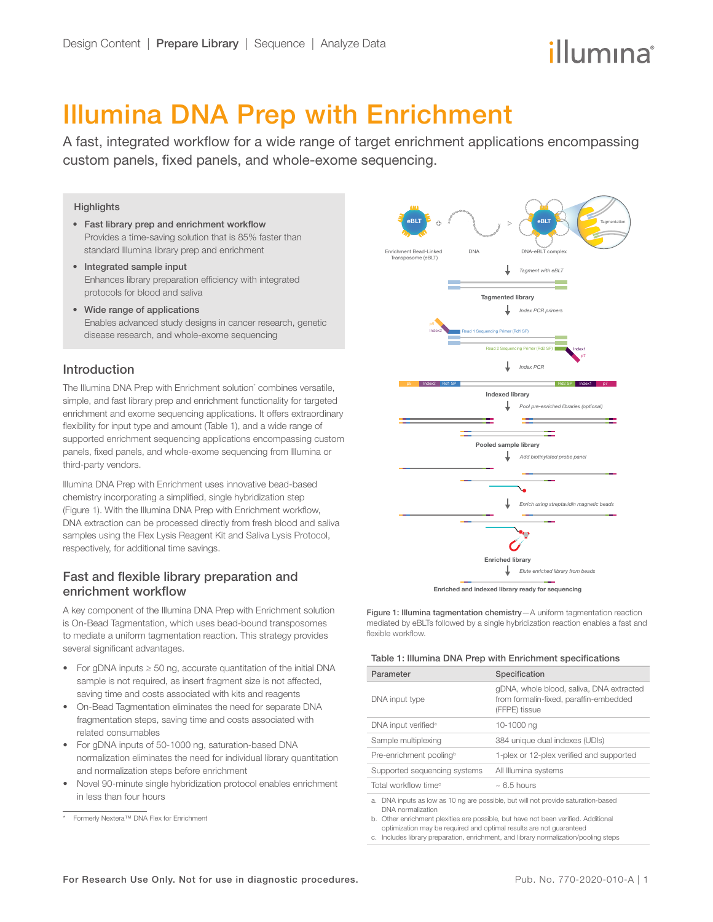# Illumina DNA Prep with Enrichment

A fast, integrated workflow for a wide range of target enrichment applications encompassing custom panels, fixed panels, and whole-exome sequencing.

#### **Highlights**

- Fast library prep and enrichment workflow Provides a time-saving solution that is 85% faster than standard Illumina library prep and enrichment
- Integrated sample input Enhances library preparation efficiency with integrated protocols for blood and saliva
- Wide range of applications Enables advanced study designs in cancer research, genetic disease research, and whole-exome sequencing

# Introduction

The Illumina DNA Prep with Enrichment solution<sup>\*</sup> combines versatile, simple, and fast library prep and enrichment functionality for targeted enrichment and exome sequencing applications. It offers extraordinary flexibility for input type and amount (Table 1), and a wide range of supported enrichment sequencing applications encompassing custom panels, fixed panels, and whole-exome sequencing from Illumina or third-party vendors.

Illumina DNA Prep with Enrichment uses innovative bead-based chemistry incorporating a simplified, single hybridization step ([Figure 1\)](#page-0-0). With the Illumina DNA Prep with Enrichment workflow, DNA extraction can be processed directly from fresh blood and saliva samples using the Flex Lysis Reagent Kit and Saliva Lysis Protocol, respectively, for additional time savings.

# Fast and flexible library preparation and enrichment workflow

A key component of the Illumina DNA Prep with Enrichment solution is On-Bead Tagmentation, which uses bead-bound transposomes to mediate a uniform tagmentation reaction. This strategy provides several significant advantages.

- For gDNA inputs ≥ 50 ng, accurate quantitation of the initial DNA sample is not required, as insert fragment size is not affected, saving time and costs associated with kits and reagents
- On-Bead Tagmentation eliminates the need for separate DNA fragmentation steps, saving time and costs associated with related consumables
- For gDNA inputs of 50-1000 ng, saturation-based DNA normalization eliminates the need for individual library quantitation and normalization steps before enrichment
- Novel 90-minute single hybridization protocol enables enrichment in less than four hours



<span id="page-0-0"></span>Figure 1: Illumina tagmentation chemistry—A uniform tagmentation reaction mediated by eBLTs followed by a single hybridization reaction enables a fast and

#### Table 1: Illumina DNA Prep with Enrichment specifications

flexible workflow.

| Parameter                                                                                                 | Specification                                                                                       |  |  |  |
|-----------------------------------------------------------------------------------------------------------|-----------------------------------------------------------------------------------------------------|--|--|--|
| DNA input type                                                                                            | gDNA, whole blood, saliva, DNA extracted<br>from formalin-fixed, paraffin-embedded<br>(FFPE) tissue |  |  |  |
| DNA input verified <sup>a</sup>                                                                           | 10-1000 ng                                                                                          |  |  |  |
| Sample multiplexing                                                                                       | 384 unique dual indexes (UDIs)                                                                      |  |  |  |
| Pre-enrichment poolingb                                                                                   | 1-plex or 12-plex verified and supported                                                            |  |  |  |
| Supported sequencing systems                                                                              | All Illumina systems                                                                                |  |  |  |
| Total workflow time <sup>c</sup>                                                                          | $\sim 6.5$ hours                                                                                    |  |  |  |
| DNA inputs as low as 10 ng are possible, but will not provide saturation-based<br>a.<br>DNA normalization |                                                                                                     |  |  |  |

<span id="page-0-2"></span><span id="page-0-1"></span>b. Other enrichment plexities are possible, but have not been verified. Additional optimization may be required and optimal results are not guaranteed

<span id="page-0-3"></span>c. Includes library preparation, enrichment, and library normalization/pooling steps

<sup>\*</sup> Formerly Nextera™ DNA Flex for Enrichment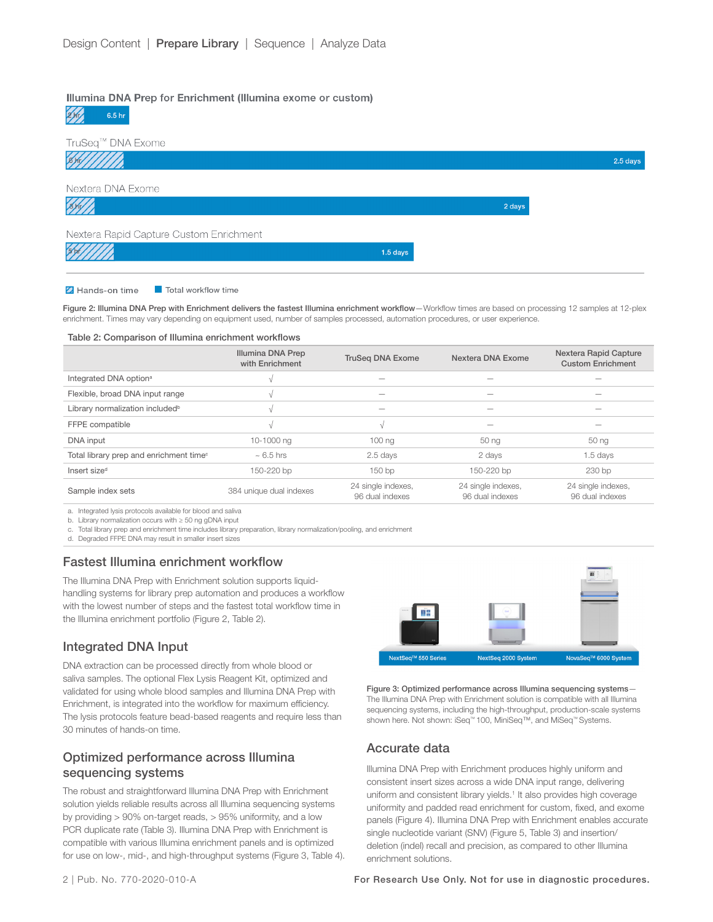#### Illumina DNA Prep for Enrichment (Illumina exome or custom)

 $2$  kg  $6.5<sub>hr</sub>$ 



#### Z Hands-on time Total workflow time

Figure 2: Illumina DNA Prep with Enrichment delivers the fastest Illumina enrichment workflow–Workflow times are based on processing 12 samples at 12-plex enrichment. Times may vary depending on equipment used, number of samples processed, automation procedures, or user experience.

#### Table 2: Comparison of Illumina enrichment workflows

|                                                     | Illumina DNA Prep<br>with Enrichment | <b>TruSeg DNA Exome</b>               | Nextera DNA Exome                     | Nextera Rapid Capture<br><b>Custom Enrichment</b> |
|-----------------------------------------------------|--------------------------------------|---------------------------------------|---------------------------------------|---------------------------------------------------|
|                                                     |                                      |                                       |                                       |                                                   |
| Integrated DNA option <sup>a</sup>                  |                                      | -                                     |                                       |                                                   |
| Flexible, broad DNA input range                     |                                      | $\overline{\phantom{a}}$              | -                                     |                                                   |
| Library normalization included <sup>b</sup>         |                                      | -                                     |                                       |                                                   |
| FFPE compatible                                     |                                      | ٨J                                    | $\overline{\phantom{a}}$              | $\overline{\phantom{a}}$                          |
| DNA input                                           | 10-1000 ng                           | 100 <sub>ng</sub>                     | 50 ng                                 | 50 ng                                             |
| Total library prep and enrichment time <sup>c</sup> | $\sim 6.5$ hrs                       | 2.5 days                              | 2 days                                | $1.5$ days                                        |
| Insert size <sup>d</sup>                            | 150-220 bp                           | 150 <sub>bp</sub>                     | 150-220 bp                            | 230 bp                                            |
| Sample index sets                                   | 384 unique dual indexes              | 24 single indexes,<br>96 dual indexes | 24 single indexes,<br>96 dual indexes | 24 single indexes,<br>96 dual indexes             |

a. Integrated lysis protocols available for blood and saliva

b. Library normalization occurs with ≥ 50 ng gDNA input

<span id="page-1-0"></span>c. Total library prep and enrichment time includes library preparation, library normalization/pooling, and enrichment

d. Degraded FFPE DNA may result in smaller insert sizes

#### Fastest Illumina enrichment workflow

The Illumina DNA Prep with Enrichment solution supports liquidhandling systems for library prep automation and produces a workflow with the lowest number of steps and the fastest total workflow time in the Illumina enrichment portfolio (Figure 2, Table 2).

#### Integrated DNA Input

DNA extraction can be processed directly from whole blood or saliva samples. The optional Flex Lysis Reagent Kit, optimized and validated for using whole blood samples and Illumina DNA Prep with Enrichment, is integrated into the workflow for maximum efficiency. The lysis protocols feature bead-based reagents and require less than 30 minutes of hands-on time.

# Optimized performance across Illumina sequencing systems

The robust and straightforward Illumina DNA Prep with Enrichment solution yields reliable results across all Illumina sequencing systems by providing > 90% on-target reads, > 95% uniformity, and a low PCR duplicate rate (Table 3). Illumina DNA Prep with Enrichment is compatible with various Illumina enrichment panels and is optimized for use on low-, mid-, and high-throughput systems (Figure 3, Table 4).



Figure 3: Optimized performance across Illumina sequencing systems— The Illumina DNA Prep with Enrichment solution is compatible with all Illumina sequencing systems, including the high-throughput, production-scale systems shown here. Not shown: iSeq™ 100, MiniSeq™, and MiSeq™ Systems.

# Accurate data

Illumina DNA Prep with Enrichment produces highly uniform and consistent insert sizes across a wide DNA input range, delivering uniform and consistent library yields.<sup>[1](#page-3-0)</sup> It also provides high coverage uniformity and padded read enrichment for custom, fixed, and exome panels (Figure 4). Illumina DNA Prep with Enrichment enables accurate single nucleotide variant (SNV) (Figure 5, Table 3) and insertion/ deletion (indel) recall and precision, as compared to other Illumina enrichment solutions.

2 | Pub. No. 770-2020-010-A For Research Use Only. Not for use in diagnostic procedures.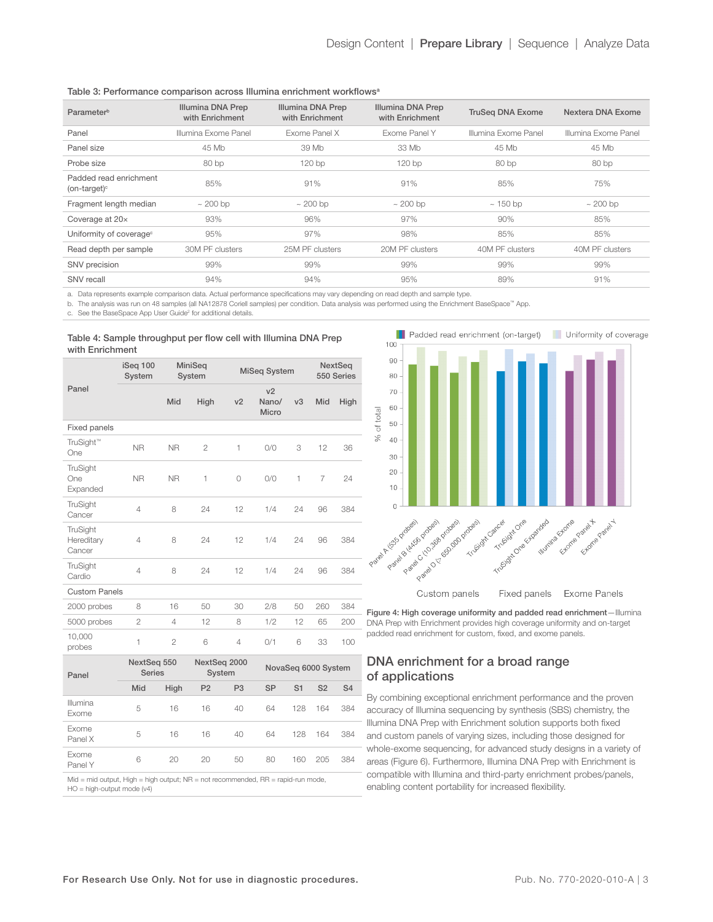| Parameter <sup>b</sup>                                   | Illumina DNA Prep<br>with Enrichment | Illumina DNA Prep<br>with Enrichment | Illumina DNA Prep<br>with Enrichment | <b>TruSeg DNA Exome</b> | Nextera DNA Exome    |  |
|----------------------------------------------------------|--------------------------------------|--------------------------------------|--------------------------------------|-------------------------|----------------------|--|
| Panel                                                    | Illumina Exome Panel                 | Exome Panel X                        | Exome Panel Y                        | Illumina Exome Panel    | Illumina Exome Panel |  |
| Panel size                                               | 45 Mb                                | 39 Mb                                | 33 Mb                                |                         | 45 Mb                |  |
| Probe size                                               | 80 bp                                | 120 <sub>bp</sub>                    | 120bp                                | 80 bp                   | 80 bp                |  |
| Padded read enrichment<br>$($ on-target $)$ <sup>c</sup> | 85%                                  | 91%                                  | 91%                                  | 85%                     | 75%                  |  |
| Fragment length median                                   | $\sim$ 200 bp                        | $\sim$ 200 bp                        | $\sim$ 200 bp                        | $\sim$ 150 bp           | $\sim 200$ bp        |  |
| Coverage at 20x                                          | 93%                                  | 96%                                  | 97%                                  | 90%                     | 85%                  |  |
| Uniformity of coverage <sup>c</sup>                      | 95%                                  | 97%                                  | 98%                                  | 85%                     | 85%                  |  |
| Read depth per sample                                    | 30M PF clusters                      | 25M PF clusters                      | 20M PF clusters                      | 40M PF clusters         | 40M PF clusters      |  |
| SNV precision                                            | 99%                                  | 99%                                  | 99%                                  | 99%                     | 99%                  |  |
| SNV recall                                               | 94%                                  | 94%                                  | 95%                                  | 89%                     | 91%                  |  |
|                                                          |                                      |                                      |                                      |                         |                      |  |

<span id="page-2-0"></span>a. Data represents example comparison data. Actual performance specifications may vary depending on read depth and sample type.

<span id="page-2-1"></span>b. The analysis was run on 48 samples (all NA12878 Coriell samples) per condition. Data analysis was performed using the Enrichment BaseSpace™ App.

<span id="page-2-2"></span>c. See the BaseSpace App User Guide<sup>2</sup> for additional details.

#### Table 4: Sample throughput per flow cell with Illumina DNA Prep with Enrichment

|                                  | iSeq 100<br>System |                                                        | MiniSeq<br>System |                     | <b>MiSeq System</b>              |                |                | NextSeq<br>550 Series |  |
|----------------------------------|--------------------|--------------------------------------------------------|-------------------|---------------------|----------------------------------|----------------|----------------|-----------------------|--|
| Panel                            |                    | <b>Mid</b>                                             | High              | v <sub>2</sub>      | v <sub>2</sub><br>Nano/<br>Micro | v3             | Mid            | High                  |  |
| Fixed panels                     |                    |                                                        |                   |                     |                                  |                |                |                       |  |
| TruSight™<br>One                 | <b>NR</b>          | <b>NR</b>                                              | $\overline{2}$    | 1                   | 0/0                              | 3              | 12             | 36                    |  |
| TruSight<br>One<br>Expanded      | <b>NR</b>          | <b>NR</b>                                              | $\mathbf{1}$      | $\circ$             | O/O                              | 1              | 7              | 24                    |  |
| TruSight<br>Cancer               | $\overline{4}$     | 8                                                      | 24                | 12                  | 1/4                              | 24             | 96             | 384                   |  |
| TruSight<br>Hereditary<br>Cancer | 4                  | 8                                                      | 24                | 12                  | 1/4                              | 24             | 96             | 384                   |  |
| TruSight<br>Cardio               | 4                  | 8                                                      | 24                | 12                  | 1/4                              | 24             | 96             | 384                   |  |
| <b>Custom Panels</b>             |                    |                                                        |                   |                     |                                  |                |                |                       |  |
| 2000 probes                      | 8                  | 16                                                     | 50                | 30                  | 2/8                              | 50             | 260            | 384                   |  |
| 5000 probes                      | $\overline{2}$     | 4                                                      | 12                | 8                   | 1/2                              | 12             | 65             | 200                   |  |
| 10,000<br>probes                 | 1                  | $\overline{2}$                                         | 6                 | $\overline{4}$      | 0/1                              | 6              | 33             | 100                   |  |
| Panel                            |                    | NextSeq 550<br>NextSeq 2000<br><b>Series</b><br>System |                   | NovaSeq 6000 System |                                  |                |                |                       |  |
|                                  | Mid                | High                                                   | P <sub>2</sub>    | P <sub>3</sub>      | <b>SP</b>                        | S <sub>1</sub> | S <sub>2</sub> | S <sub>4</sub>        |  |
| Illumina<br>Exome                | 5                  | 16                                                     | 16                | 40                  | 64                               | 128            | 164            | 384                   |  |
| Exome<br>Panel X                 | 5                  | 16                                                     | 16                | 40                  | 64                               | 128            | 164            | 384                   |  |
| Exome<br>Panel Y                 | 6                  | 20                                                     | 20                | 50                  | 80                               | 160            | 205            | 384                   |  |



Custom panels Fixed panels Exome Panels

Figure 4: High coverage uniformity and padded read enrichment-Illumina DNA Prep with Enrichment provides high coverage uniformity and on-target padded read enrichment for custom, fixed, and exome panels.

# DNA enrichment for a broad range of applications

By combining exceptional enrichment performance and the proven accuracy of Illumina sequencing by synthesis (SBS) chemistry, the Illumina DNA Prep with Enrichment solution supports both fixed and custom panels of varying sizes, including those designed for whole-exome sequencing, for advanced study designs in a variety of areas (Figure 6). Furthermore, Illumina DNA Prep with Enrichment is compatible with Illumina and third-party enrichment probes/panels, enabling content portability for increased flexibility.

 $Mid = mid output$ ,  $High = high output$ ;  $NR = not recommended$ ,  $RR = rapid-run mode$ ,

HO = high-output mode (v4)